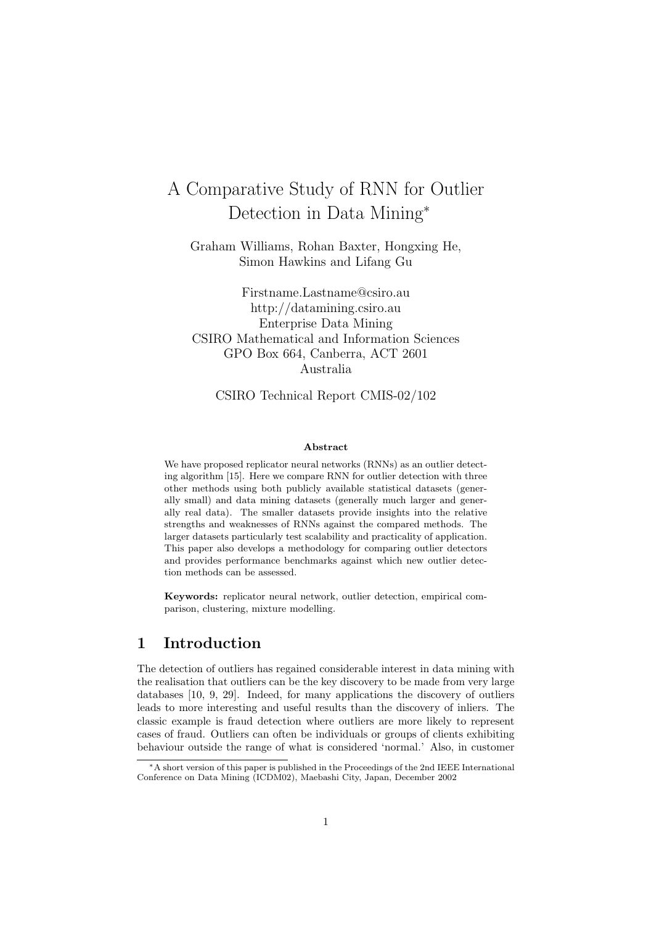# A Comparative Study of RNN for Outlier Detection in Data Mining<sup>∗</sup>

Graham Williams, Rohan Baxter, Hongxing He, Simon Hawkins and Lifang Gu

Firstname.Lastname@csiro.au http://datamining.csiro.au Enterprise Data Mining CSIRO Mathematical and Information Sciences GPO Box 664, Canberra, ACT 2601 Australia

CSIRO Technical Report CMIS-02/102

#### Abstract

We have proposed replicator neural networks (RNNs) as an outlier detecting algorithm [15]. Here we compare RNN for outlier detection with three other methods using both publicly available statistical datasets (generally small) and data mining datasets (generally much larger and generally real data). The smaller datasets provide insights into the relative strengths and weaknesses of RNNs against the compared methods. The larger datasets particularly test scalability and practicality of application. This paper also develops a methodology for comparing outlier detectors and provides performance benchmarks against which new outlier detection methods can be assessed.

Keywords: replicator neural network, outlier detection, empirical comparison, clustering, mixture modelling.

## 1 Introduction

The detection of outliers has regained considerable interest in data mining with the realisation that outliers can be the key discovery to be made from very large databases [10, 9, 29]. Indeed, for many applications the discovery of outliers leads to more interesting and useful results than the discovery of inliers. The classic example is fraud detection where outliers are more likely to represent cases of fraud. Outliers can often be individuals or groups of clients exhibiting behaviour outside the range of what is considered 'normal.' Also, in customer

<sup>∗</sup>A short version of this paper is published in the Proceedings of the 2nd IEEE International Conference on Data Mining (ICDM02), Maebashi City, Japan, December 2002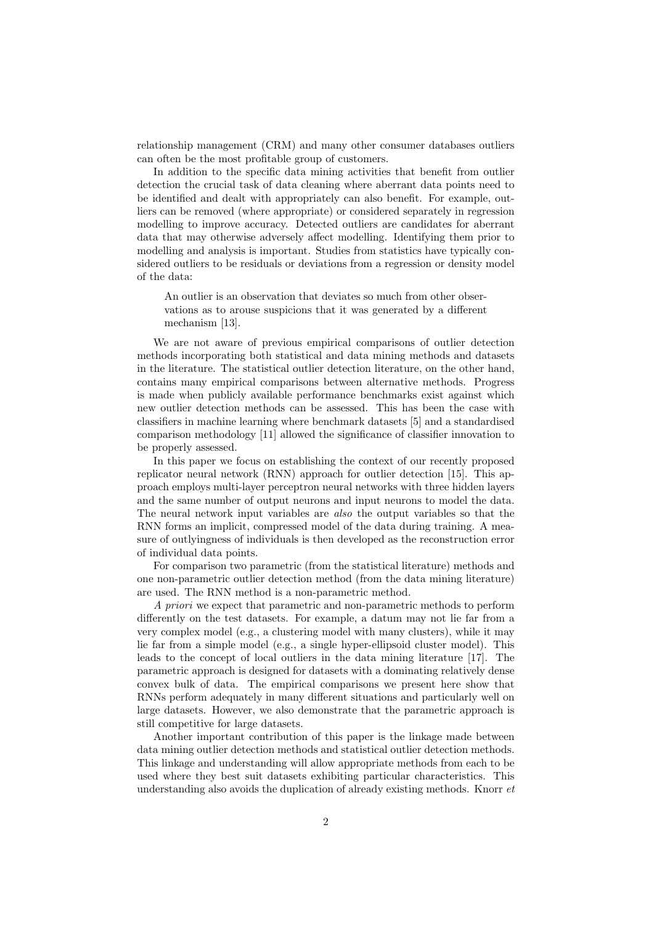relationship management (CRM) and many other consumer databases outliers can often be the most profitable group of customers.

In addition to the specific data mining activities that benefit from outlier detection the crucial task of data cleaning where aberrant data points need to be identified and dealt with appropriately can also benefit. For example, outliers can be removed (where appropriate) or considered separately in regression modelling to improve accuracy. Detected outliers are candidates for aberrant data that may otherwise adversely affect modelling. Identifying them prior to modelling and analysis is important. Studies from statistics have typically considered outliers to be residuals or deviations from a regression or density model of the data:

An outlier is an observation that deviates so much from other observations as to arouse suspicions that it was generated by a different mechanism [13].

We are not aware of previous empirical comparisons of outlier detection methods incorporating both statistical and data mining methods and datasets in the literature. The statistical outlier detection literature, on the other hand, contains many empirical comparisons between alternative methods. Progress is made when publicly available performance benchmarks exist against which new outlier detection methods can be assessed. This has been the case with classifiers in machine learning where benchmark datasets [5] and a standardised comparison methodology [11] allowed the significance of classifier innovation to be properly assessed.

In this paper we focus on establishing the context of our recently proposed replicator neural network (RNN) approach for outlier detection [15]. This approach employs multi-layer perceptron neural networks with three hidden layers and the same number of output neurons and input neurons to model the data. The neural network input variables are also the output variables so that the RNN forms an implicit, compressed model of the data during training. A measure of outlyingness of individuals is then developed as the reconstruction error of individual data points.

For comparison two parametric (from the statistical literature) methods and one non-parametric outlier detection method (from the data mining literature) are used. The RNN method is a non-parametric method.

A priori we expect that parametric and non-parametric methods to perform differently on the test datasets. For example, a datum may not lie far from a very complex model (e.g., a clustering model with many clusters), while it may lie far from a simple model (e.g., a single hyper-ellipsoid cluster model). This leads to the concept of local outliers in the data mining literature [17]. The parametric approach is designed for datasets with a dominating relatively dense convex bulk of data. The empirical comparisons we present here show that RNNs perform adequately in many different situations and particularly well on large datasets. However, we also demonstrate that the parametric approach is still competitive for large datasets.

Another important contribution of this paper is the linkage made between data mining outlier detection methods and statistical outlier detection methods. This linkage and understanding will allow appropriate methods from each to be used where they best suit datasets exhibiting particular characteristics. This understanding also avoids the duplication of already existing methods. Knorr  $et$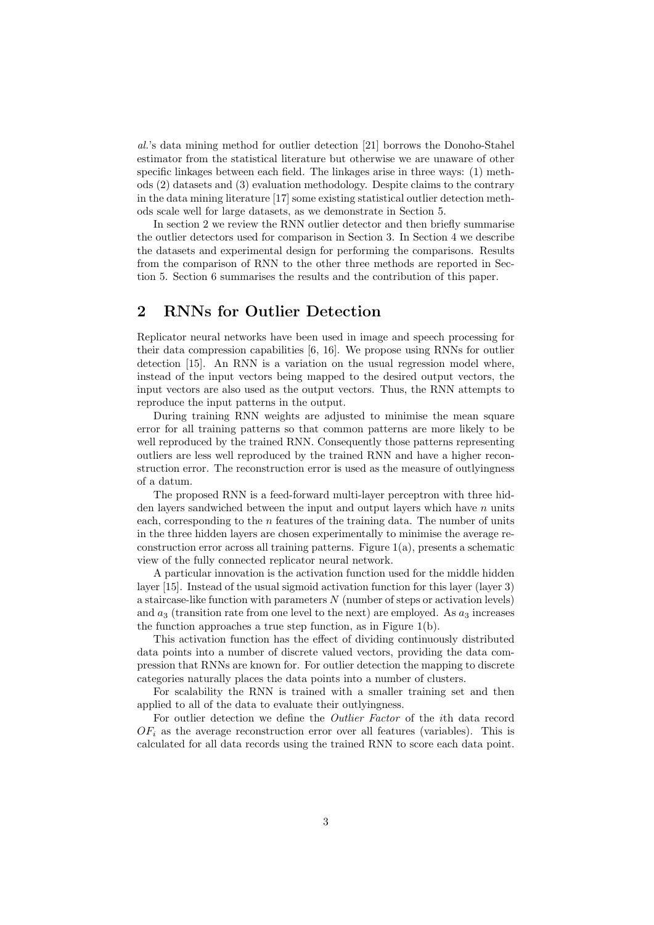al.'s data mining method for outlier detection [21] borrows the Donoho-Stahel estimator from the statistical literature but otherwise we are unaware of other specific linkages between each field. The linkages arise in three ways: (1) methods (2) datasets and (3) evaluation methodology. Despite claims to the contrary in the data mining literature [17] some existing statistical outlier detection methods scale well for large datasets, as we demonstrate in Section 5.

In section 2 we review the RNN outlier detector and then briefly summarise the outlier detectors used for comparison in Section 3. In Section 4 we describe the datasets and experimental design for performing the comparisons. Results from the comparison of RNN to the other three methods are reported in Section 5. Section 6 summarises the results and the contribution of this paper.

## 2 RNNs for Outlier Detection

Replicator neural networks have been used in image and speech processing for their data compression capabilities [6, 16]. We propose using RNNs for outlier detection [15]. An RNN is a variation on the usual regression model where, instead of the input vectors being mapped to the desired output vectors, the input vectors are also used as the output vectors. Thus, the RNN attempts to reproduce the input patterns in the output.

During training RNN weights are adjusted to minimise the mean square error for all training patterns so that common patterns are more likely to be well reproduced by the trained RNN. Consequently those patterns representing outliers are less well reproduced by the trained RNN and have a higher reconstruction error. The reconstruction error is used as the measure of outlyingness of a datum.

The proposed RNN is a feed-forward multi-layer perceptron with three hidden layers sandwiched between the input and output layers which have  $n$  units each, corresponding to the n features of the training data. The number of units in the three hidden layers are chosen experimentally to minimise the average reconstruction error across all training patterns. Figure 1(a), presents a schematic view of the fully connected replicator neural network.

A particular innovation is the activation function used for the middle hidden layer [15]. Instead of the usual sigmoid activation function for this layer (layer 3) a staircase-like function with parameters N (number of steps or activation levels) and  $a_3$  (transition rate from one level to the next) are employed. As  $a_3$  increases the function approaches a true step function, as in Figure 1(b).

This activation function has the effect of dividing continuously distributed data points into a number of discrete valued vectors, providing the data compression that RNNs are known for. For outlier detection the mapping to discrete categories naturally places the data points into a number of clusters.

For scalability the RNN is trained with a smaller training set and then applied to all of the data to evaluate their outlyingness.

For outlier detection we define the Outlier Factor of the ith data record  $OF<sub>i</sub>$  as the average reconstruction error over all features (variables). This is calculated for all data records using the trained RNN to score each data point.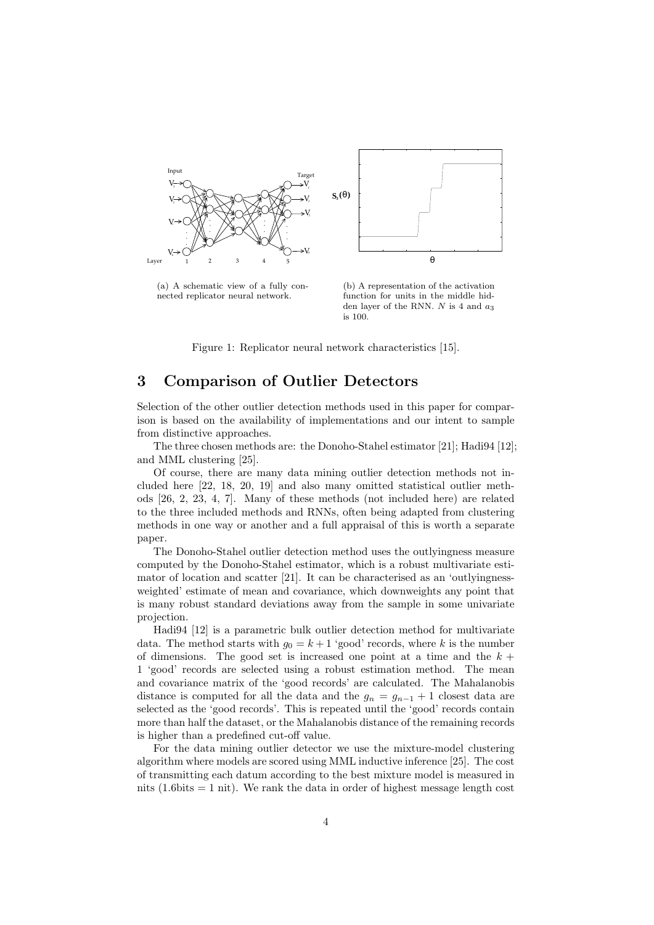

(a) A schematic view of a fully connected replicator neural network.

(b) A representation of the activation function for units in the middle hidden layer of the RNN.  $N$  is 4 and  $a_3$ is 100.

Figure 1: Replicator neural network characteristics [15].

## 3 Comparison of Outlier Detectors

Selection of the other outlier detection methods used in this paper for comparison is based on the availability of implementations and our intent to sample from distinctive approaches.

The three chosen methods are: the Donoho-Stahel estimator [21]; Hadi94 [12]; and MML clustering [25].

Of course, there are many data mining outlier detection methods not included here [22, 18, 20, 19] and also many omitted statistical outlier methods [26, 2, 23, 4, 7]. Many of these methods (not included here) are related to the three included methods and RNNs, often being adapted from clustering methods in one way or another and a full appraisal of this is worth a separate paper.

The Donoho-Stahel outlier detection method uses the outlyingness measure computed by the Donoho-Stahel estimator, which is a robust multivariate estimator of location and scatter [21]. It can be characterised as an 'outlyingnessweighted' estimate of mean and covariance, which downweights any point that is many robust standard deviations away from the sample in some univariate projection.

Hadi94 [12] is a parametric bulk outlier detection method for multivariate data. The method starts with  $g_0 = k + 1$  'good' records, where k is the number of dimensions. The good set is increased one point at a time and the  $k +$ 1 'good' records are selected using a robust estimation method. The mean and covariance matrix of the 'good records' are calculated. The Mahalanobis distance is computed for all the data and the  $g_n = g_{n-1} + 1$  closest data are selected as the 'good records'. This is repeated until the 'good' records contain more than half the dataset, or the Mahalanobis distance of the remaining records is higher than a predefined cut-off value.

For the data mining outlier detector we use the mixture-model clustering algorithm where models are scored using MML inductive inference [25]. The cost of transmitting each datum according to the best mixture model is measured in nits  $(1.6 \text{bits} = 1 \text{ nit})$ . We rank the data in order of highest message length cost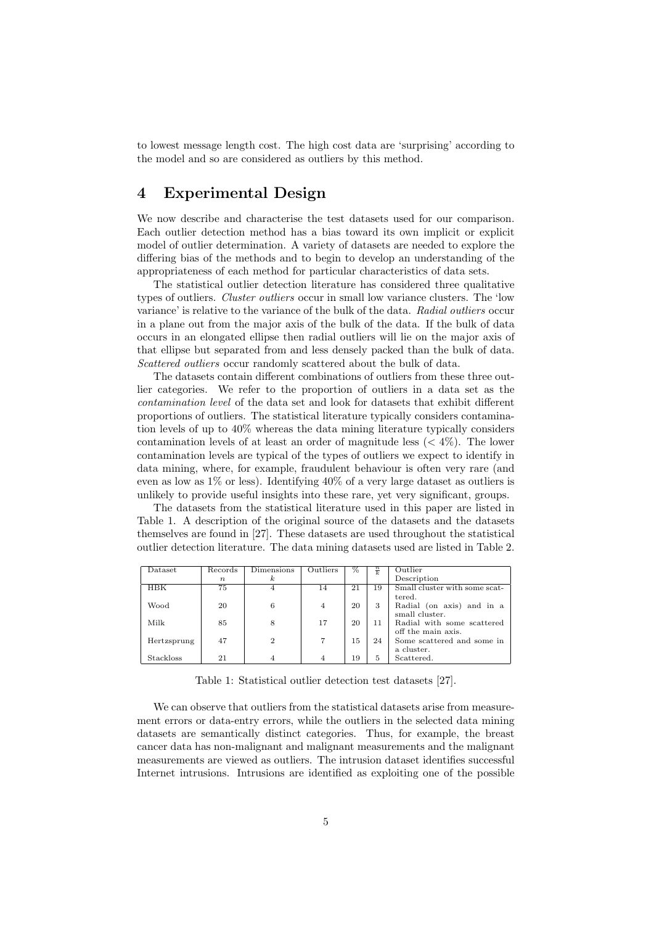to lowest message length cost. The high cost data are 'surprising' according to the model and so are considered as outliers by this method.

## 4 Experimental Design

We now describe and characterise the test datasets used for our comparison. Each outlier detection method has a bias toward its own implicit or explicit model of outlier determination. A variety of datasets are needed to explore the differing bias of the methods and to begin to develop an understanding of the appropriateness of each method for particular characteristics of data sets.

The statistical outlier detection literature has considered three qualitative types of outliers. *Cluster outliers* occur in small low variance clusters. The 'low variance' is relative to the variance of the bulk of the data. Radial outliers occur in a plane out from the major axis of the bulk of the data. If the bulk of data occurs in an elongated ellipse then radial outliers will lie on the major axis of that ellipse but separated from and less densely packed than the bulk of data. Scattered outliers occur randomly scattered about the bulk of data.

The datasets contain different combinations of outliers from these three outlier categories. We refer to the proportion of outliers in a data set as the contamination level of the data set and look for datasets that exhibit different proportions of outliers. The statistical literature typically considers contamination levels of up to 40% whereas the data mining literature typically considers contamination levels of at least an order of magnitude less  $(< 4\%)$ . The lower contamination levels are typical of the types of outliers we expect to identify in data mining, where, for example, fraudulent behaviour is often very rare (and even as low as  $1\%$  or less). Identifying  $40\%$  of a very large dataset as outliers is unlikely to provide useful insights into these rare, yet very significant, groups.

The datasets from the statistical literature used in this paper are listed in Table 1. A description of the original source of the datasets and the datasets themselves are found in [27]. These datasets are used throughout the statistical outlier detection literature. The data mining datasets used are listed in Table 2.

| Dataset          | Records          | Dimensions                  | Outliers       | %  | $\frac{n}{k}$ | Outlier                       |
|------------------|------------------|-----------------------------|----------------|----|---------------|-------------------------------|
|                  | $\boldsymbol{n}$ | $\boldsymbol{k}$            |                |    |               | Description                   |
| HBK              | 75               | 4                           | 14             | 21 | 19            | Small cluster with some scat- |
|                  |                  |                             |                |    |               | tered.                        |
| Wood             | 20               | 6                           | 4              | 20 | 3             | Radial (on axis) and in a     |
|                  |                  |                             |                |    |               | small cluster.                |
| Milk             | 85               | 8                           | 17             | 20 | 11            | Radial with some scattered    |
|                  |                  |                             |                |    |               | off the main axis.            |
| Hertzsprung      | 47               | $\mathcal{D}_{\mathcal{L}}$ | 7              | 15 | 24            | Some scattered and some in    |
|                  |                  |                             |                |    |               | a cluster.                    |
| <b>Stackloss</b> | 21               | $\overline{4}$              | $\overline{4}$ | 19 | 5             | Scattered.                    |

Table 1: Statistical outlier detection test datasets [27].

We can observe that outliers from the statistical datasets arise from measurement errors or data-entry errors, while the outliers in the selected data mining datasets are semantically distinct categories. Thus, for example, the breast cancer data has non-malignant and malignant measurements and the malignant measurements are viewed as outliers. The intrusion dataset identifies successful Internet intrusions. Intrusions are identified as exploiting one of the possible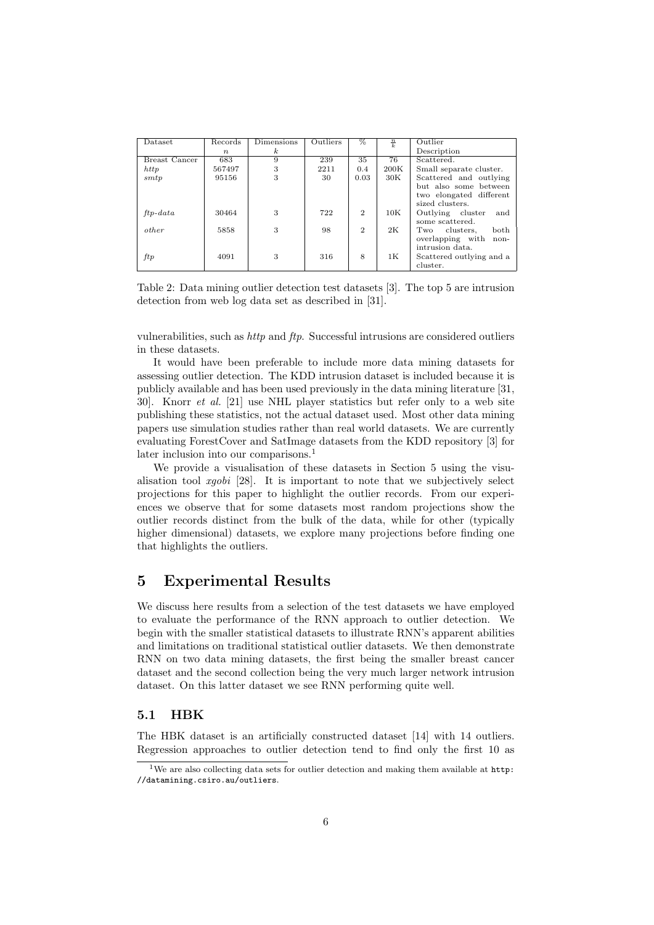| Dataset              | Records     | Dimensions | Outliers | %                        | $\frac{n}{k}$ | Outlier                  |
|----------------------|-------------|------------|----------|--------------------------|---------------|--------------------------|
|                      | $n_{\cdot}$ | k.         |          |                          |               | Description              |
| <b>Breast Cancer</b> | 683         | 9          | 239      | 35                       | 76            | Scattered.               |
| http                 | 567497      | 3          | 2211     | 0.4                      | 200K          | Small separate cluster.  |
| smtp                 | 95156       | 3          | 30       | 0.03                     | 30K           | Scattered and outlying   |
|                      |             |            |          |                          |               | but also some between    |
|                      |             |            |          |                          |               | two elongated different  |
|                      |             |            |          |                          |               | sized clusters.          |
| $ftp-data$           | 30464       | 3          | 722      | $\mathfrak{D}_{1}^{(1)}$ | 10K           | Outlying cluster<br>and  |
|                      |             |            |          |                          |               | some scattered.          |
| other                | 5858        | 3          | 98       | $\overline{2}$           | 2K            | both<br>Two<br>clusters, |
|                      |             |            |          |                          |               | overlapping with<br>non- |
|                      |             |            |          |                          |               | intrusion data.          |
| ftp                  | 4091        | 3          | 316      | 8                        | 1K.           | Scattered outlying and a |
|                      |             |            |          |                          |               | cluster.                 |

Table 2: Data mining outlier detection test datasets [3]. The top 5 are intrusion detection from web log data set as described in [31].

vulnerabilities, such as http and ftp. Successful intrusions are considered outliers in these datasets.

It would have been preferable to include more data mining datasets for assessing outlier detection. The KDD intrusion dataset is included because it is publicly available and has been used previously in the data mining literature [31, 30]. Knorr et al. [21] use NHL player statistics but refer only to a web site publishing these statistics, not the actual dataset used. Most other data mining papers use simulation studies rather than real world datasets. We are currently evaluating ForestCover and SatImage datasets from the KDD repository [3] for later inclusion into our comparisons.<sup>1</sup>

We provide a visualisation of these datasets in Section 5 using the visualisation tool xgobi [28]. It is important to note that we subjectively select projections for this paper to highlight the outlier records. From our experiences we observe that for some datasets most random projections show the outlier records distinct from the bulk of the data, while for other (typically higher dimensional) datasets, we explore many projections before finding one that highlights the outliers.

## 5 Experimental Results

We discuss here results from a selection of the test datasets we have employed to evaluate the performance of the RNN approach to outlier detection. We begin with the smaller statistical datasets to illustrate RNN's apparent abilities and limitations on traditional statistical outlier datasets. We then demonstrate RNN on two data mining datasets, the first being the smaller breast cancer dataset and the second collection being the very much larger network intrusion dataset. On this latter dataset we see RNN performing quite well.

#### 5.1 HBK

The HBK dataset is an artificially constructed dataset [14] with 14 outliers. Regression approaches to outlier detection tend to find only the first 10 as

 $^{\mathrm{1}}\text{We}$  are also collecting data sets for outlier detection and making them available at  $\texttt{http:}$ //datamining.csiro.au/outliers.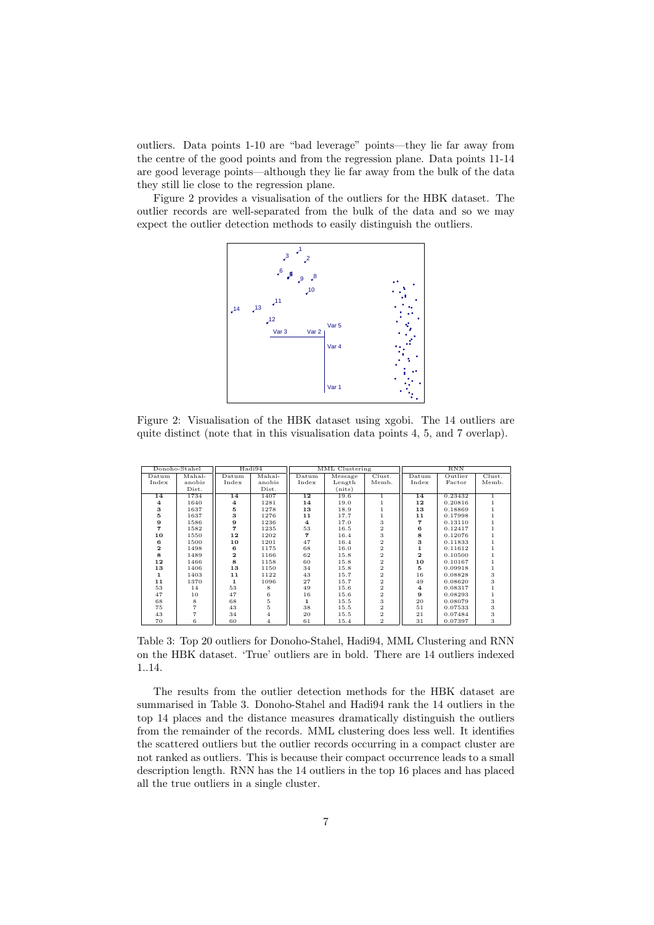outliers. Data points 1-10 are "bad leverage" points—they lie far away from the centre of the good points and from the regression plane. Data points 11-14 are good leverage points—although they lie far away from the bulk of the data they still lie close to the regression plane.

Figure 2 provides a visualisation of the outliers for the HBK dataset. The outlier records are well-separated from the bulk of the data and so we may expect the outlier detection methods to easily distinguish the outliers.



Figure 2: Visualisation of the HBK dataset using xgobi. The 14 outliers are quite distinct (note that in this visualisation data points 4, 5, and 7 overlap).

| Donoho-Stahel  |        | Hadi94                  |                | MML Clustering |            |                         | <b>RNN</b>              |         |                |
|----------------|--------|-------------------------|----------------|----------------|------------|-------------------------|-------------------------|---------|----------------|
| Datum          | Mahal- | Datum                   | Mahal-         | Datum          | $M$ essage | Clust.                  | Datum                   | Outlier | Clust.         |
| Index          | anobis | Index                   | anobis         | Index          | Length     | Memb.                   | Index                   | Factor  | Memb.          |
|                | Dist.  |                         | Dist.          |                | (nits)     |                         |                         |         |                |
| 14             | 1734   | 14                      | 1407           | 12             | 19.6       | $\overline{1}$          | 14                      | 0.23432 | $\overline{1}$ |
| $\overline{4}$ | 1640   | $\overline{4}$          | 1281           | 14             | 19.0       | 1                       | 12                      | 0.20816 |                |
| 3              | 1637   | 5                       | 1278           | 13             | 18.9       | 1                       | 13                      | 0.18869 |                |
| 5              | 1637   | 3                       | 1276           | 11             | 17.7       | 1                       | 11                      | 0.17998 |                |
| 9              | 1586   | 9                       | 1236           | $\overline{4}$ | 17.0       | 3                       | 7                       | 0.13110 |                |
| 7              | 1582   | 7                       | 1235           | 53             | 16.5       | $\overline{2}$          | 6                       | 0.12417 |                |
| 10             | 1550   | 12                      | 1202           | 7              | 16.4       | 3                       | 8                       | 0.12076 |                |
| 6              | 1500   | 10                      | 1201           | 47             | 16.4       | $\overline{2}$          | 3                       | 0.11833 |                |
| $\mathbf{z}$   | 1498   | в                       | 1175           | 68             | 16.0       | $\overline{2}$          | $\mathbf{1}$            | 0.11612 |                |
| 8              | 1489   | $\overline{\mathbf{2}}$ | 1166           | 62             | 15.8       | $\overline{\mathbf{2}}$ | $\overline{\mathbf{2}}$ | 0.10500 |                |
| 12             | 1466   | R                       | 1158           | 60             | 15.8       | $\overline{\mathbf{2}}$ | 10                      | 0.10167 |                |
| 13             | 1406   | 13                      | 1150           | 34             | 15.8       | $\overline{\mathbf{2}}$ | 5                       | 0.09918 |                |
| $\mathbf{1}$   | 1403   | 11                      | 1122           | 43             | 15.7       | $\overline{\mathbf{2}}$ | 16                      | 0.08828 | 3              |
| 11             | 1370   | 1                       | 1096           | 27             | 15.7       | $\overline{2}$          | 49                      | 0.08620 | 3              |
| 53             | 14     | 53                      | 8              | 49             | 15.6       | $\mathbf 2$             | $\overline{4}$          | 0.08317 |                |
| 47             | 10     | 47                      | 6              | 16             | 15.6       | $\,2$                   | 9                       | 0.08293 |                |
| 68             | 8      | 68                      | 5              | 1              | 15.5       | 3                       | 20                      | 0.08079 | 3              |
| 75             | 7      | 43                      | 5              | 38             | 15.5       | $\overline{2}$          | 51                      | 0.07533 | 3              |
| 43             |        | 34                      | $\overline{4}$ | 20             | 15.5       | $\overline{2}$          | 21                      | 0.07484 | 3              |
| 70             | 6      | 60                      | $\overline{4}$ | 61             | 15.4       | $\overline{2}$          | 31                      | 0.07397 | 3              |

Table 3: Top 20 outliers for Donoho-Stahel, Hadi94, MML Clustering and RNN on the HBK dataset. 'True' outliers are in bold. There are 14 outliers indexed ..14.

The results from the outlier detection methods for the HBK dataset are summarised in Table 3. Donoho-Stahel and Hadi94 rank the 14 outliers in the top 14 places and the distance measures dramatically distinguish the outliers from the remainder of the records. MML clustering does less well. It identifies the scattered outliers but the outlier records occurring in a compact cluster are not ranked as outliers. This is because their compact occurrence leads to a small description length. RNN has the 14 outliers in the top 16 places and has placed all the true outliers in a single cluster.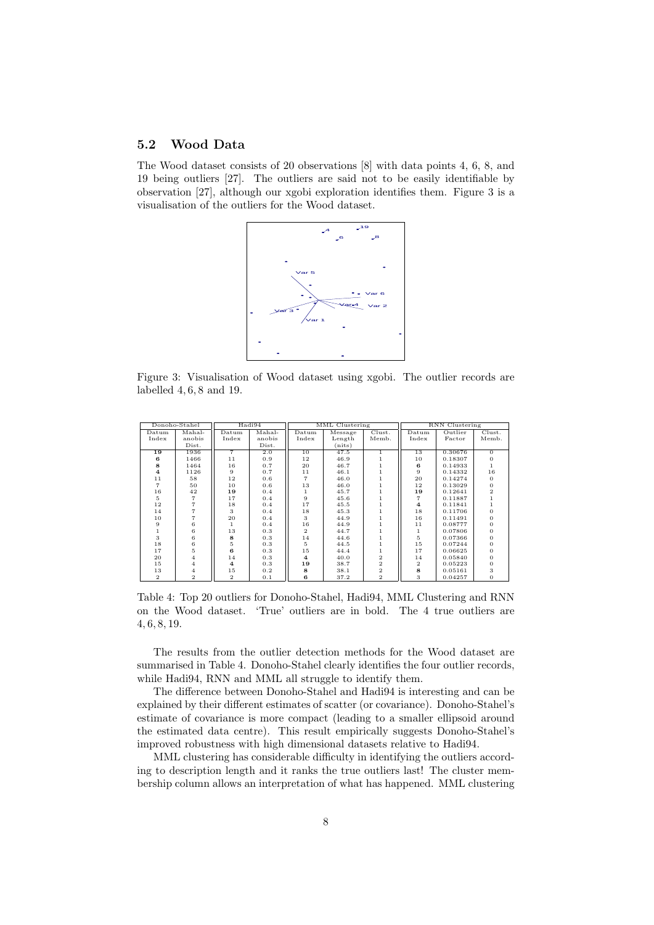#### 5.2 Wood Data

The Wood dataset consists of 20 observations [8] with data points 4, 6, 8, and 19 being outliers [27]. The outliers are said not to be easily identifiable by observation [27], although our xgobi exploration identifies them. Figure 3 is a visualisation of the outliers for the Wood dataset.



Figure 3: Visualisation of Wood dataset using xgobi. The outlier records are labelled 4, 6, 8 and 19.

| Donoho-Stahel  |                | Hadi94         |        | MML Clustering |         |                | RNN Clustering |         |                |
|----------------|----------------|----------------|--------|----------------|---------|----------------|----------------|---------|----------------|
| Datum          | Mahal-         | Datum          | Mahal- | Datum          | Message | Clust.         | Datum          | Outlier | Clust.         |
| Index          | anobis         | Index          | anobis | Index          | Length  | Memb.          | Index          | Factor  | Memb.          |
|                | Dist.          |                | Dist.  |                | (nits)  |                |                |         |                |
| 19             | 1936           | $\overline{7}$ | 2.0    | 10             | 47.5    | $\mathbf{1}$   | 13             | 0.30676 | $\Omega$       |
| в              | 1466           | 11             | 0.9    | 12             | 46.9    |                | 10             | 0.18307 | O              |
| 8              | 1464           | 16             | 0.7    | 20             | 46.7    |                | в              | 0.14933 |                |
| $\overline{a}$ | 1126           | 9              | 0.7    | 11             | 46.1    |                | 9              | 0.14332 | 16             |
| 11             | 58             | 12             | 0.6    |                | 46.0    |                | 20             | 0.14274 | $\Omega$       |
|                | 50             | 10             | 0.6    | 13             | 46.0    |                | 12             | 0.13029 | $\Omega$       |
| 16             | 42             | 19             | 0.4    |                | 45.7    |                | 19             | 0.12641 | $\overline{2}$ |
| 5              | 7              | 17             | 0.4    | 9              | 45.6    |                | 7              | 0.11887 |                |
| 12             |                | 18             | 0.4    | 17             | 45.5    |                | $\overline{4}$ | 0.11841 |                |
| 14             | 7              | 3              | 0.4    | 18             | 45.3    |                | 18             | 0.11706 | O              |
| 10             | 7              | 20             | 0.4    | 3              | 44.9    |                | 16             | 0.11491 |                |
| 9              | 6              |                | 0.4    | 16             | 44.9    |                | 11             | 0.08777 |                |
|                | 6              | 13             | 0.3    | $\overline{2}$ | 44.7    |                |                | 0.07806 |                |
| 3              | 6              | 8              | 0.3    | 14             | 44.6    |                | 5              | 0.07366 |                |
| 18             | 6              | 5              | 0.3    | 5              | 44.5    |                | 15             | 0.07244 |                |
| 17             | 5              | в              | 0.3    | 15             | 44.4    | 1              | 17             | 0.06625 |                |
| 20             | 4              | 14             | 0.3    | 4              | 40.0    | $\overline{2}$ | 14             | 0.05840 |                |
| 15             | 4              | 4              | 0.3    | 19             | 38.7    | $\overline{2}$ | $\overline{2}$ | 0.05223 |                |
| 13             | 4              | 15             | 0.2    | 8              | 38.1    | $\overline{2}$ | 8              | 0.05161 | 3              |
| 2              | $\overline{2}$ | 2              | 0.1    | 6              | 37.2    | $\overline{2}$ | 3              | 0.04257 | 0              |

Table 4: Top 20 outliers for Donoho-Stahel, Hadi94, MML Clustering and RNN on the Wood dataset. 'True' outliers are in bold. The 4 true outliers are , 6, 8, 19.

The results from the outlier detection methods for the Wood dataset are summarised in Table 4. Donoho-Stahel clearly identifies the four outlier records, while Hadi94, RNN and MML all struggle to identify them.

The difference between Donoho-Stahel and Hadi94 is interesting and can be explained by their different estimates of scatter (or covariance). Donoho-Stahel's estimate of covariance is more compact (leading to a smaller ellipsoid around the estimated data centre). This result empirically suggests Donoho-Stahel's improved robustness with high dimensional datasets relative to Hadi94.

MML clustering has considerable difficulty in identifying the outliers according to description length and it ranks the true outliers last! The cluster membership column allows an interpretation of what has happened. MML clustering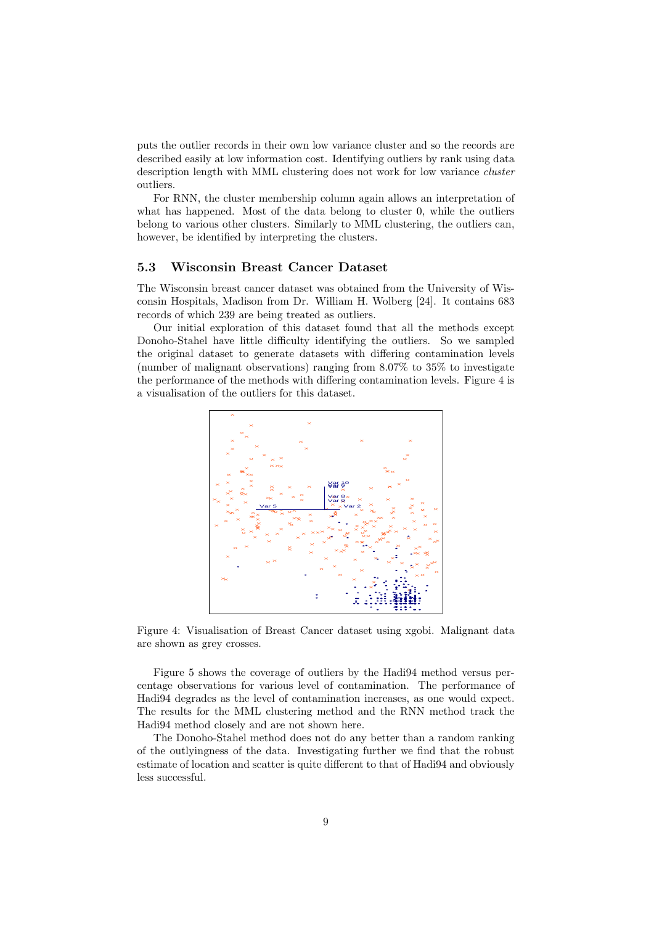puts the outlier records in their own low variance cluster and so the records are described easily at low information cost. Identifying outliers by rank using data description length with MML clustering does not work for low variance cluster outliers.

For RNN, the cluster membership column again allows an interpretation of what has happened. Most of the data belong to cluster 0, while the outliers belong to various other clusters. Similarly to MML clustering, the outliers can, however, be identified by interpreting the clusters.

#### 5.3 Wisconsin Breast Cancer Dataset

The Wisconsin breast cancer dataset was obtained from the University of Wisconsin Hospitals, Madison from Dr. William H. Wolberg [24]. It contains 683 records of which 239 are being treated as outliers.

Our initial exploration of this dataset found that all the methods except Donoho-Stahel have little difficulty identifying the outliers. So we sampled the original dataset to generate datasets with differing contamination levels (number of malignant observations) ranging from 8.07% to 35% to investigate the performance of the methods with differing contamination levels. Figure 4 is a visualisation of the outliers for this dataset.



Figure 4: Visualisation of Breast Cancer dataset using xgobi. Malignant data are shown as grey crosses.

Figure 5 shows the coverage of outliers by the Hadi94 method versus percentage observations for various level of contamination. The performance of Hadi94 degrades as the level of contamination increases, as one would expect. The results for the MML clustering method and the RNN method track the Hadi94 method closely and are not shown here.

The Donoho-Stahel method does not do any better than a random ranking of the outlyingness of the data. Investigating further we find that the robust estimate of location and scatter is quite different to that of Hadi94 and obviously less successful.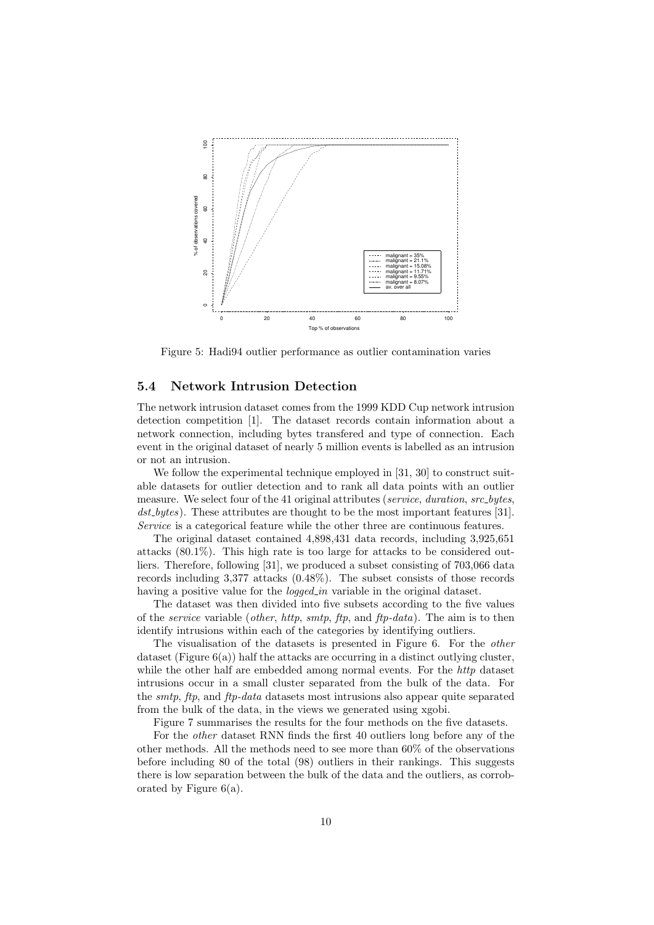

Figure 5: Hadi94 outlier performance as outlier contamination varies

#### 5.4 Network Intrusion Detection

The network intrusion dataset comes from the 1999 KDD Cup network intrusion detection competition [1]. The dataset records contain information about a network connection, including bytes transfered and type of connection. Each event in the original dataset of nearly 5 million events is labelled as an intrusion or not an intrusion.

We follow the experimental technique employed in [31, 30] to construct suitable datasets for outlier detection and to rank all data points with an outlier measure. We select four of the 41 original attributes (service, duration, src\_bytes, dst bytes). These attributes are thought to be the most important features [31]. Service is a categorical feature while the other three are continuous features.

The original dataset contained 4,898,431 data records, including 3,925,651 attacks (80.1%). This high rate is too large for attacks to be considered outliers. Therefore, following [31], we produced a subset consisting of 703,066 data records including 3,377 attacks (0.48%). The subset consists of those records having a positive value for the *logged\_in* variable in the original dataset.

The dataset was then divided into five subsets according to the five values of the service variable (other, http, smtp, ftp, and ftp-data). The aim is to then identify intrusions within each of the categories by identifying outliers.

The visualisation of the datasets is presented in Figure 6. For the other dataset (Figure  $6(a)$ ) half the attacks are occurring in a distinct outlying cluster, while the other half are embedded among normal events. For the http dataset intrusions occur in a small cluster separated from the bulk of the data. For the *smtp*, ftp, and ftp-data datasets most intrusions also appear quite separated from the bulk of the data, in the views we generated using xgobi.

Figure 7 summarises the results for the four methods on the five datasets.

For the other dataset RNN finds the first 40 outliers long before any of the other methods. All the methods need to see more than 60% of the observations before including 80 of the total (98) outliers in their rankings. This suggests there is low separation between the bulk of the data and the outliers, as corroborated by Figure 6(a).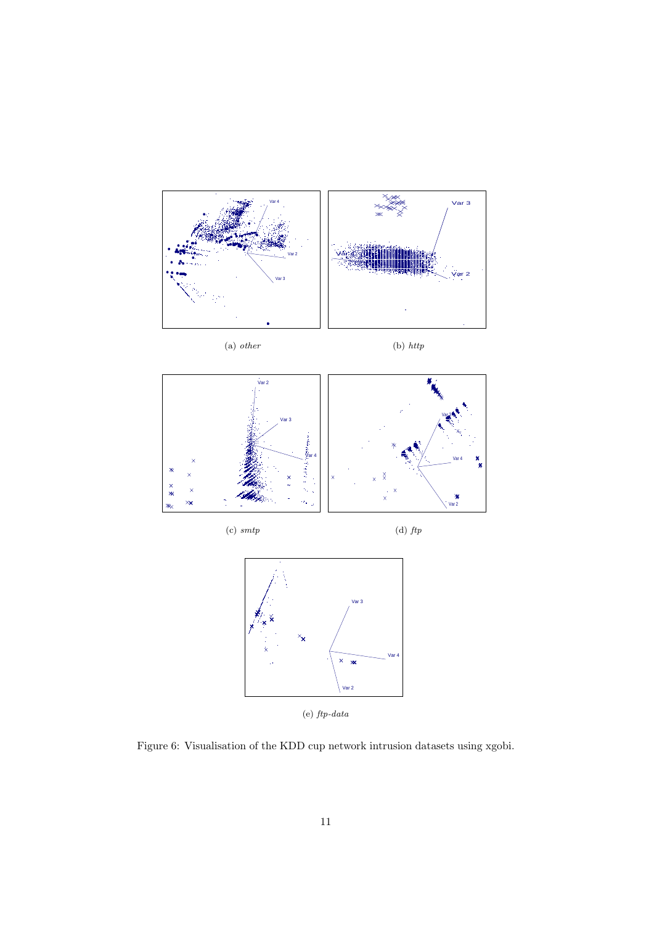

Figure 6: Visualisation of the KDD cup network intrusion datasets using xgobi.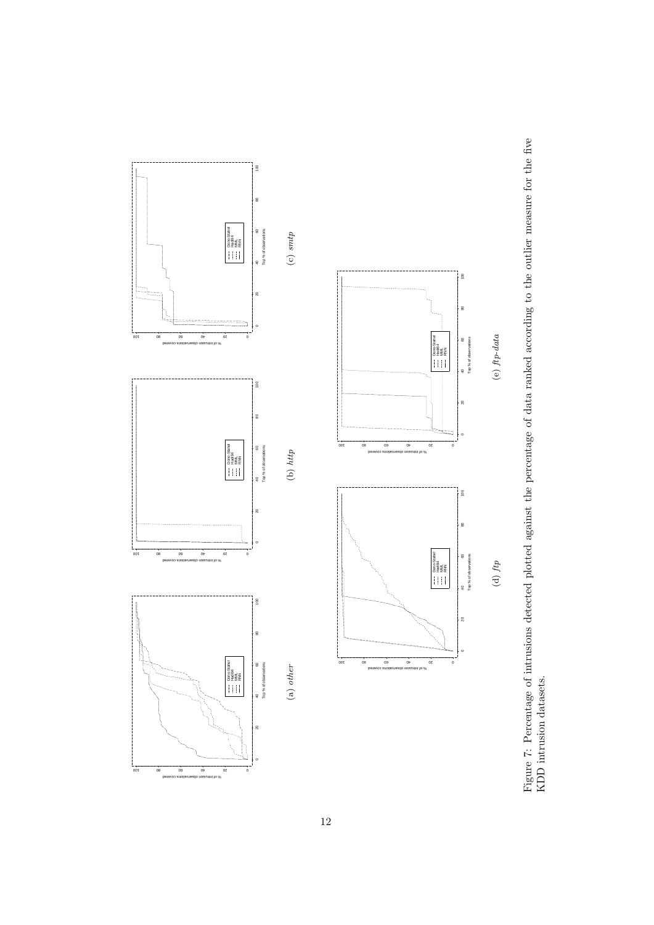

Figure 7: Percentage of intrusions detected plotted against the percentage of data ranked according to the outlier measure for the five KDD intrusion datasets. Figure 7: Percentage of intrusions detected plotted against the percentage of data ranked according to the outlier measure for the five KDD intrusion datasets.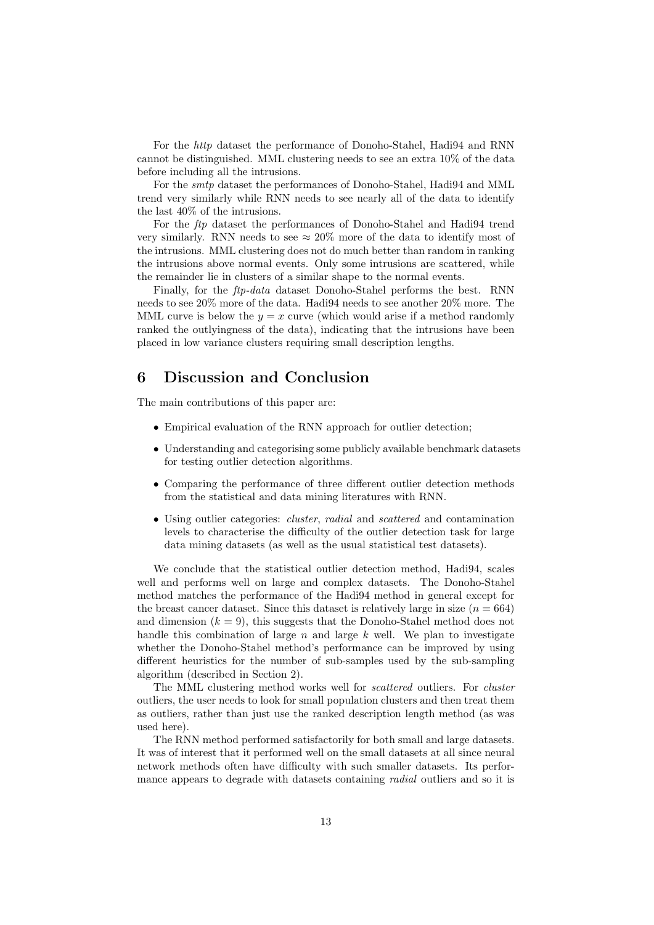For the http dataset the performance of Donoho-Stahel, Hadi94 and RNN cannot be distinguished. MML clustering needs to see an extra 10% of the data before including all the intrusions.

For the smtp dataset the performances of Donoho-Stahel, Hadi94 and MML trend very similarly while RNN needs to see nearly all of the data to identify the last 40% of the intrusions.

For the ftp dataset the performances of Donoho-Stahel and Hadi94 trend very similarly. RNN needs to see  $\approx 20\%$  more of the data to identify most of the intrusions. MML clustering does not do much better than random in ranking the intrusions above normal events. Only some intrusions are scattered, while the remainder lie in clusters of a similar shape to the normal events.

Finally, for the ftp-data dataset Donoho-Stahel performs the best. RNN needs to see 20% more of the data. Hadi94 needs to see another 20% more. The MML curve is below the  $y = x$  curve (which would arise if a method randomly ranked the outlyingness of the data), indicating that the intrusions have been placed in low variance clusters requiring small description lengths.

## 6 Discussion and Conclusion

The main contributions of this paper are:

- Empirical evaluation of the RNN approach for outlier detection;
- Understanding and categorising some publicly available benchmark datasets for testing outlier detection algorithms.
- Comparing the performance of three different outlier detection methods from the statistical and data mining literatures with RNN.
- Using outlier categories: *cluster*, *radial* and *scattered* and contamination levels to characterise the difficulty of the outlier detection task for large data mining datasets (as well as the usual statistical test datasets).

We conclude that the statistical outlier detection method, Hadi94, scales well and performs well on large and complex datasets. The Donoho-Stahel method matches the performance of the Hadi94 method in general except for the breast cancer dataset. Since this dataset is relatively large in size  $(n = 664)$ and dimension  $(k = 9)$ , this suggests that the Donoho-Stahel method does not handle this combination of large  $n$  and large  $k$  well. We plan to investigate whether the Donoho-Stahel method's performance can be improved by using different heuristics for the number of sub-samples used by the sub-sampling algorithm (described in Section 2).

The MML clustering method works well for scattered outliers. For cluster outliers, the user needs to look for small population clusters and then treat them as outliers, rather than just use the ranked description length method (as was used here).

The RNN method performed satisfactorily for both small and large datasets. It was of interest that it performed well on the small datasets at all since neural network methods often have difficulty with such smaller datasets. Its performance appears to degrade with datasets containing *radial* outliers and so it is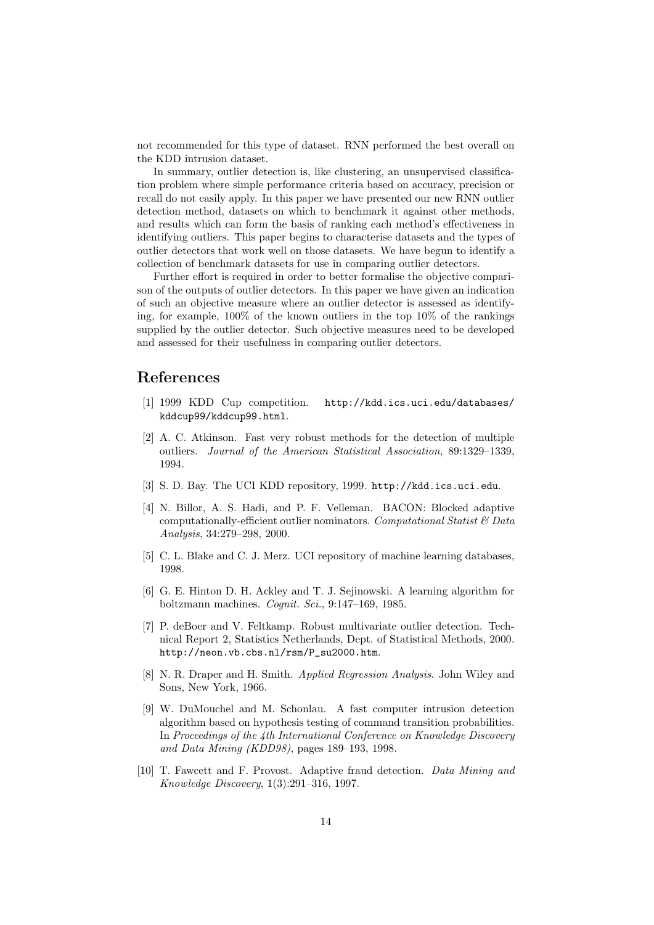not recommended for this type of dataset. RNN performed the best overall on the KDD intrusion dataset.

In summary, outlier detection is, like clustering, an unsupervised classification problem where simple performance criteria based on accuracy, precision or recall do not easily apply. In this paper we have presented our new RNN outlier detection method, datasets on which to benchmark it against other methods, and results which can form the basis of ranking each method's effectiveness in identifying outliers. This paper begins to characterise datasets and the types of outlier detectors that work well on those datasets. We have begun to identify a collection of benchmark datasets for use in comparing outlier detectors.

Further effort is required in order to better formalise the objective comparison of the outputs of outlier detectors. In this paper we have given an indication of such an objective measure where an outlier detector is assessed as identifying, for example, 100% of the known outliers in the top 10% of the rankings supplied by the outlier detector. Such objective measures need to be developed and assessed for their usefulness in comparing outlier detectors.

### References

- [1] 1999 KDD Cup competition. http://kdd.ics.uci.edu/databases/ kddcup99/kddcup99.html.
- [2] A. C. Atkinson. Fast very robust methods for the detection of multiple outliers. Journal of the American Statistical Association, 89:1329–1339, 1994.
- [3] S. D. Bay. The UCI KDD repository, 1999. http://kdd.ics.uci.edu.
- [4] N. Billor, A. S. Hadi, and P. F. Velleman. BACON: Blocked adaptive computationally-efficient outlier nominators. Computational Statist  $\&$  Data Analysis, 34:279–298, 2000.
- [5] C. L. Blake and C. J. Merz. UCI repository of machine learning databases, 1998.
- [6] G. E. Hinton D. H. Ackley and T. J. Sejinowski. A learning algorithm for boltzmann machines. Cognit. Sci., 9:147–169, 1985.
- [7] P. deBoer and V. Feltkamp. Robust multivariate outlier detection. Technical Report 2, Statistics Netherlands, Dept. of Statistical Methods, 2000. http://neon.vb.cbs.nl/rsm/P\_su2000.htm.
- [8] N. R. Draper and H. Smith. Applied Regression Analysis. John Wiley and Sons, New York, 1966.
- [9] W. DuMouchel and M. Schonlau. A fast computer intrusion detection algorithm based on hypothesis testing of command transition probabilities. In Proceedings of the 4th International Conference on Knowledge Discovery and Data Mining (KDD98), pages 189–193, 1998.
- [10] T. Fawcett and F. Provost. Adaptive fraud detection. Data Mining and Knowledge Discovery, 1(3):291–316, 1997.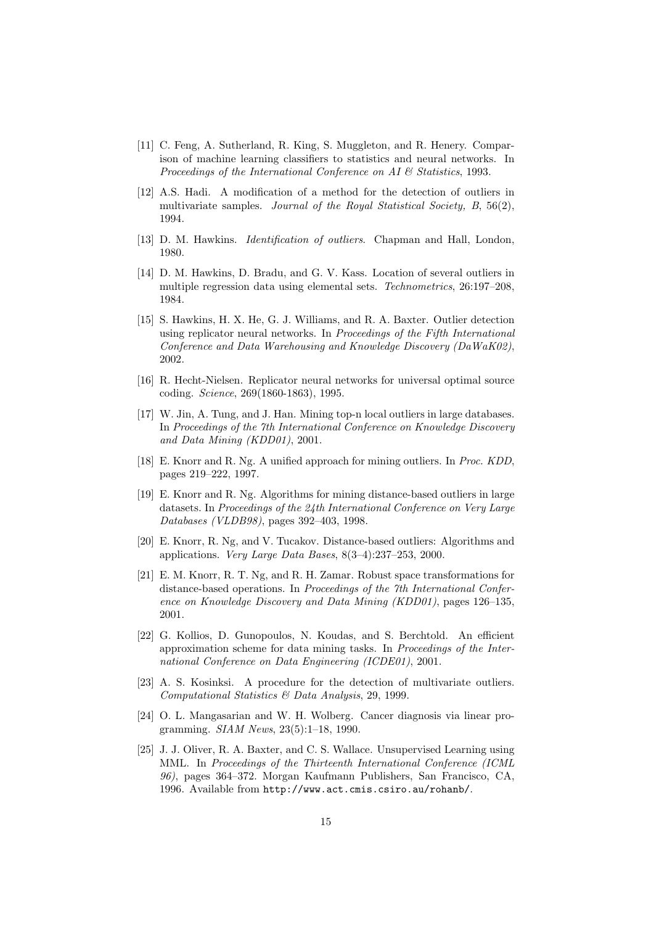- [11] C. Feng, A. Sutherland, R. King, S. Muggleton, and R. Henery. Comparison of machine learning classifiers to statistics and neural networks. In Proceedings of the International Conference on AI & Statistics, 1993.
- [12] A.S. Hadi. A modification of a method for the detection of outliers in multivariate samples. Journal of the Royal Statistical Society,  $B$ , 56(2), 1994.
- [13] D. M. Hawkins. Identification of outliers. Chapman and Hall, London, 1980.
- [14] D. M. Hawkins, D. Bradu, and G. V. Kass. Location of several outliers in multiple regression data using elemental sets. Technometrics, 26:197–208, 1984.
- [15] S. Hawkins, H. X. He, G. J. Williams, and R. A. Baxter. Outlier detection using replicator neural networks. In Proceedings of the Fifth International Conference and Data Warehousing and Knowledge Discovery (DaWaK02), 2002.
- [16] R. Hecht-Nielsen. Replicator neural networks for universal optimal source coding. Science, 269(1860-1863), 1995.
- [17] W. Jin, A. Tung, and J. Han. Mining top-n local outliers in large databases. In Proceedings of the 7th International Conference on Knowledge Discovery and Data Mining (KDD01), 2001.
- [18] E. Knorr and R. Ng. A unified approach for mining outliers. In Proc. KDD, pages 219–222, 1997.
- [19] E. Knorr and R. Ng. Algorithms for mining distance-based outliers in large datasets. In Proceedings of the 24th International Conference on Very Large Databases (VLDB98), pages 392–403, 1998.
- [20] E. Knorr, R. Ng, and V. Tucakov. Distance-based outliers: Algorithms and applications. Very Large Data Bases, 8(3–4):237–253, 2000.
- [21] E. M. Knorr, R. T. Ng, and R. H. Zamar. Robust space transformations for distance-based operations. In Proceedings of the 7th International Conference on Knowledge Discovery and Data Mining (KDD01), pages 126–135, 2001.
- [22] G. Kollios, D. Gunopoulos, N. Koudas, and S. Berchtold. An efficient approximation scheme for data mining tasks. In Proceedings of the International Conference on Data Engineering (ICDE01), 2001.
- [23] A. S. Kosinksi. A procedure for the detection of multivariate outliers. Computational Statistics & Data Analysis, 29, 1999.
- [24] O. L. Mangasarian and W. H. Wolberg. Cancer diagnosis via linear programming. SIAM News, 23(5):1–18, 1990.
- [25] J. J. Oliver, R. A. Baxter, and C. S. Wallace. Unsupervised Learning using MML. In Proceedings of the Thirteenth International Conference (ICML 96), pages 364–372. Morgan Kaufmann Publishers, San Francisco, CA, 1996. Available from http://www.act.cmis.csiro.au/rohanb/.